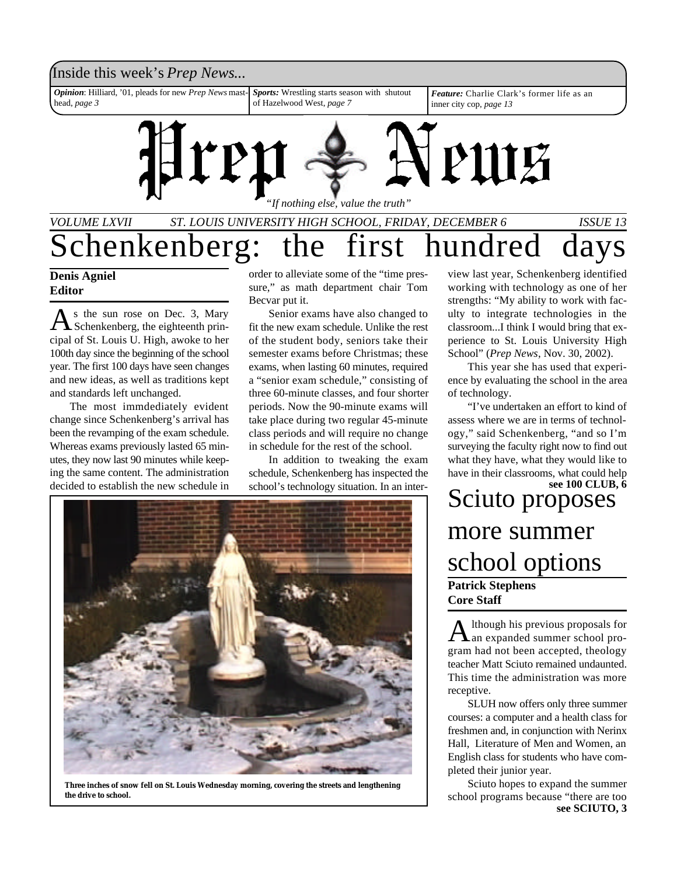### Inside this week's *Prep News*... *Opinion*: Hilliard, '01, pleads for new *Prep News* mast-*Sports:* Wrestling starts season with shutout *Feature:* Charlie Clark's former life as an of Hazelwood West, *page 7* head, *page 3* inner city cop, *page 13* PULE *"If nothing else, value the truth"*

## *VOLUME LXVII ST. LOUIS UNIVERSITY HIGH SCHOOL, FRIDAY, DECEMBER 6 ISSUE 13* Schenkenberg: the first hundred

### **Denis Agniel Editor**

As the sun rose on Dec. 3, Mary<br>Schenkenberg, the eighteenth prin-<br>cipal of St. Louis U. High, awoke to her s the sun rose on Dec. 3, Mary Schenkenberg, the eighteenth prin-100th day since the beginning of the school year. The first 100 days have seen changes and new ideas, as well as traditions kept and standards left unchanged.

The most immdediately evident change since Schenkenberg's arrival has been the revamping of the exam schedule. Whereas exams previously lasted 65 minutes, they now last 90 minutes while keeping the same content. The administration decided to establish the new schedule in

order to alleviate some of the "time pressure," as math department chair Tom Becvar put it.

Senior exams have also changed to fit the new exam schedule. Unlike the rest of the student body, seniors take their semester exams before Christmas; these exams, when lasting 60 minutes, required a "senior exam schedule," consisting of three 60-minute classes, and four shorter periods. Now the 90-minute exams will take place during two regular 45-minute class periods and will require no change in schedule for the rest of the school.

In addition to tweaking the exam schedule, Schenkenberg has inspected the school's technology situation. In an inter-



**Three inches of snow fell on St. Louis Wednesday morning, covering the streets and lengthening the drive to school.**

view last year, Schenkenberg identified working with technology as one of her strengths: "My ability to work with faculty to integrate technologies in the classroom...I think I would bring that experience to St. Louis University High School" (*Prep News*, Nov. 30, 2002).

This year she has used that experience by evaluating the school in the area of technology.

"I've undertaken an effort to kind of assess where we are in terms of technology," said Schenkenberg, "and so I'm surveying the faculty right now to find out what they have, what they would like to have in their classrooms, what could help

Sciuto proposes more summer school options **Patrick Stephens Core Staff see 100 CLUB, 6**

 ${\bf A}$ lthough his previous proposals for an expanded summer school prolthough his previous proposals for gram had not been accepted, theology teacher Matt Sciuto remained undaunted. This time the administration was more receptive.

SLUH now offers only three summer courses: a computer and a health class for freshmen and, in conjunction with Nerinx Hall, Literature of Men and Women, an English class for students who have completed their junior year.

Sciuto hopes to expand the summer school programs because "there are too **see SCIUTO, 3**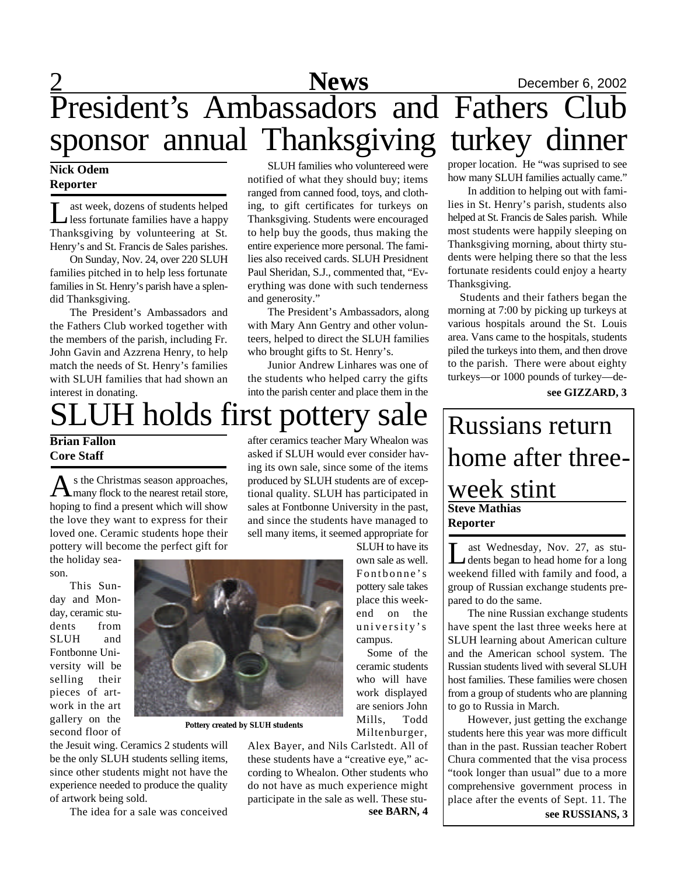## 2 **News** December 6, 2002 SLUH families who voluntereed were President's Ambassadors and Fathers Club sponsor annual Thanksgiving turkey dinner

notified of what they should buy; items ranged from canned food, toys, and clothing, to gift certificates for turkeys on Thanksgiving. Students were encouraged to help buy the goods, thus making the entire experience more personal. The families also received cards. SLUH Presidnent Paul Sheridan, S.J., commented that, "Everything was done with such tenderness

The President's Ambassadors, along with Mary Ann Gentry and other volunteers, helped to direct the SLUH families

Junior Andrew Linhares was one of the students who helped carry the gifts into the parish center and place them in the

who brought gifts to St. Henry's.

### **Nick Odem Reporter**

Less fortunate families have a happy<br>Thanksgiving by volunteering at St. ast week, dozens of students helped less fortunate families have a happy Henry's and St. Francis de Sales parishes.

On Sunday, Nov. 24, over 220 SLUH families pitched in to help less fortunate families in St. Henry's parish have a splendid Thanksgiving.

The President's Ambassadors and the Fathers Club worked together with the members of the parish, including Fr. John Gavin and Azzrena Henry, to help match the needs of St. Henry's families with SLUH families that had shown an interest in donating.

# SLUH holds first pottery sale

and generosity."

### **Brian Fallon Core Staff**

As the Christmas season approaches,<br>
many flock to the nearest retail store, s the Christmas season approaches, hoping to find a present which will show the love they want to express for their loved one. Ceramic students hope their pottery will become the perfect gift for

the holiday season.

This Sunday and Monday, ceramic students from SLUH and Fontbonne University will be selling their pieces of artwork in the art gallery on the second floor of



**Pottery created by SLUH students**

the Jesuit wing. Ceramics 2 students will be the only SLUH students selling items, since other students might not have the experience needed to produce the quality of artwork being sold.

The idea for a sale was conceived

after ceramics teacher Mary Whealon was asked if SLUH would ever consider having its own sale, since some of the items produced by SLUH students are of exceptional quality. SLUH has participated in sales at Fontbonne University in the past, and since the students have managed to sell many items, it seemed appropriate for

SLUH to have its own sale as well. Fontbonne's pottery sale takes place this weekend on the university's campus.

Mills, Todd Miltenburger,

Alex Bayer, and Nils Carlstedt. All of these students have a "creative eye," according to Whealon. Other students who do not have as much experience might participate in the sale as well. These stu-

proper location. He "was suprised to see how many SLUH families actually came."

In addition to helping out with families in St. Henry's parish, students also helped at St. Francis de Sales parish. While most students were happily sleeping on Thanksgiving morning, about thirty students were helping there so that the less fortunate residents could enjoy a hearty Thanksgiving.

 Students and their fathers began the morning at 7:00 by picking up turkeys at various hospitals around the St. Louis area. Vans came to the hospitals, students piled the turkeys into them, and then drove to the parish. There were about eighty turkeys—or 1000 pounds of turkey—de-

**see GIZZARD, 3**

### **Steve Mathias Reporter** Russians return home after threeweek stint

Let Wednesday, Nov. 27, as stu-<br>dents began to head home for a long<br>weekend filled with family and food, a ast Wednesday, Nov. 27, as students began to head home for a long group of Russian exchange students prepared to do the same.

The nine Russian exchange students have spent the last three weeks here at SLUH learning about American culture and the American school system. The Russian students lived with several SLUH host families. These families were chosen from a group of students who are planning to go to Russia in March.

However, just getting the exchange students here this year was more difficult than in the past. Russian teacher Robert Chura commented that the visa process "took longer than usual" due to a more comprehensive government process in place after the events of Sept. 11. The **see BARN, 4 see RUSSIANS, 3** 

Some of the

ceramic students who will have work displayed are seniors John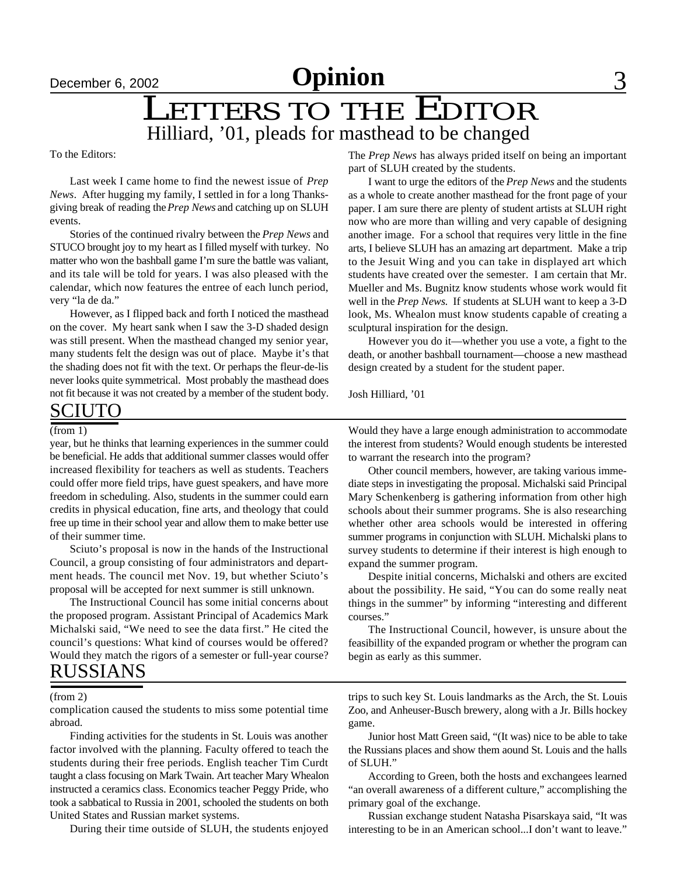# December 6, 2002 **Opinion** 3

## LETTERS TO THE EDITOR Hilliard, '01, pleads for masthead to be changed

To the Editors:

Last week I came home to find the newest issue of *Prep News*. After hugging my family, I settled in for a long Thanksgiving break of reading the *Prep News* and catching up on SLUH events.

Stories of the continued rivalry between the *Prep News* and STUCO brought joy to my heart as I filled myself with turkey. No matter who won the bashball game I'm sure the battle was valiant, and its tale will be told for years. I was also pleased with the calendar, which now features the entree of each lunch period, very "la de da."

However, as I flipped back and forth I noticed the masthead on the cover. My heart sank when I saw the 3-D shaded design was still present. When the masthead changed my senior year, many students felt the design was out of place. Maybe it's that the shading does not fit with the text. Or perhaps the fleur-de-lis never looks quite symmetrical. Most probably the masthead does not fit because it was not created by a member of the student body.

The *Prep News* has always prided itself on being an important part of SLUH created by the students.

I want to urge the editors of the *Prep News* and the students as a whole to create another masthead for the front page of your paper. I am sure there are plenty of student artists at SLUH right now who are more than willing and very capable of designing another image. For a school that requires very little in the fine arts, I believe SLUH has an amazing art department. Make a trip to the Jesuit Wing and you can take in displayed art which students have created over the semester. I am certain that Mr. Mueller and Ms. Bugnitz know students whose work would fit well in the *Prep News*. If students at SLUH want to keep a 3-D look, Ms. Whealon must know students capable of creating a sculptural inspiration for the design.

However you do it—whether you use a vote, a fight to the death, or another bashball tournament—choose a new masthead design created by a student for the student paper.

Josh Hilliard, '01

### **SCIUTO**

year, but he thinks that learning experiences in the summer could be beneficial. He adds that additional summer classes would offer increased flexibility for teachers as well as students. Teachers could offer more field trips, have guest speakers, and have more freedom in scheduling. Also, students in the summer could earn credits in physical education, fine arts, and theology that could free up time in their school year and allow them to make better use of their summer time.

Sciuto's proposal is now in the hands of the Instructional Council, a group consisting of four administrators and department heads. The council met Nov. 19, but whether Sciuto's proposal will be accepted for next summer is still unknown.

RUSSIANS The Instructional Council has some initial concerns about the proposed program. Assistant Principal of Academics Mark Michalski said, "We need to see the data first." He cited the council's questions: What kind of courses would be offered? Would they match the rigors of a semester or full-year course?

(from 2)

complication caused the students to miss some potential time abroad.

Finding activities for the students in St. Louis was another factor involved with the planning. Faculty offered to teach the students during their free periods. English teacher Tim Curdt taught a class focusing on Mark Twain. Art teacher Mary Whealon instructed a ceramics class. Economics teacher Peggy Pride, who took a sabbatical to Russia in 2001, schooled the students on both United States and Russian market systems.

During their time outside of SLUH, the students enjoyed

(from 1) Would they have a large enough administration to accommodate the interest from students? Would enough students be interested to warrant the research into the program?

> Other council members, however, are taking various immediate steps in investigating the proposal. Michalski said Principal Mary Schenkenberg is gathering information from other high schools about their summer programs. She is also researching whether other area schools would be interested in offering summer programs in conjunction with SLUH. Michalski plans to survey students to determine if their interest is high enough to expand the summer program.

> Despite initial concerns, Michalski and others are excited about the possibility. He said, "You can do some really neat things in the summer" by informing "interesting and different courses."

> The Instructional Council, however, is unsure about the feasibillity of the expanded program or whether the program can begin as early as this summer.

> trips to such key St. Louis landmarks as the Arch, the St. Louis Zoo, and Anheuser-Busch brewery, along with a Jr. Bills hockey game.

> Junior host Matt Green said, "(It was) nice to be able to take the Russians places and show them aound St. Louis and the halls of SLUH."

> According to Green, both the hosts and exchangees learned "an overall awareness of a different culture," accomplishing the primary goal of the exchange.

> Russian exchange student Natasha Pisarskaya said, "It was interesting to be in an American school...I don't want to leave."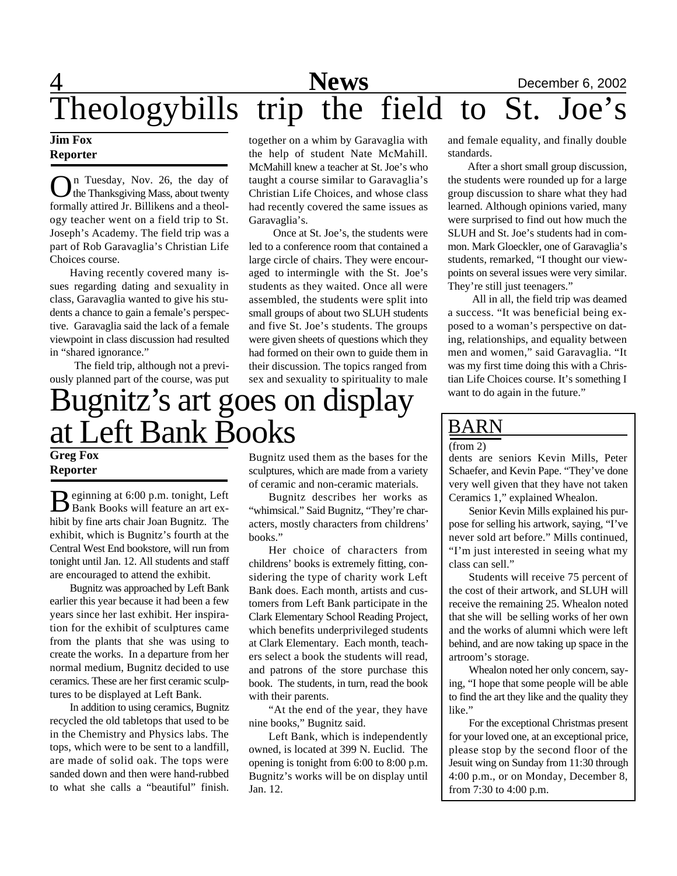# 4 **News** December 6, 2002 Theologybills trip the field to St. Joe's

### **Jim Fox Reporter**

**O**n Tuesday, Nov. 26, the day of the Thanksgiving Mass, about twenty formally attired Jr. Billikens and a theoln Tuesday, Nov. 26, the day of the Thanksgiving Mass, about twenty ogy teacher went on a field trip to St. Joseph's Academy. The field trip was a part of Rob Garavaglia's Christian Life Choices course.

Having recently covered many issues regarding dating and sexuality in class, Garavaglia wanted to give his students a chance to gain a female's perspective. Garavaglia said the lack of a female viewpoint in class discussion had resulted in "shared ignorance."

 The field trip, although not a previously planned part of the course, was put together on a whim by Garavaglia with the help of student Nate McMahill. McMahill knew a teacher at St. Joe's who taught a course similar to Garavaglia's Christian Life Choices, and whose class had recently covered the same issues as Garavaglia's.

 Once at St. Joe's, the students were led to a conference room that contained a large circle of chairs. They were encouraged to intermingle with the St. Joe's students as they waited. Once all were assembled, the students were split into small groups of about two SLUH students and five St. Joe's students. The groups were given sheets of questions which they had formed on their own to guide them in their discussion. The topics ranged from sex and sexuality to spirituality to male

# Bugnitz's art goes on display at Left Bank Books

### **Greg Fox Reporter**

Beginning at 6:00 p.m. tonight, Left<br>Bank Books will feature an art ex-Bank Books will feature an art exhibit by fine arts chair Joan Bugnitz. The exhibit, which is Bugnitz's fourth at the Central West End bookstore, will run from tonight until Jan. 12. All students and staff are encouraged to attend the exhibit.

Bugnitz was approached by Left Bank earlier this year because it had been a few years since her last exhibit. Her inspiration for the exhibit of sculptures came from the plants that she was using to create the works. In a departure from her normal medium, Bugnitz decided to use ceramics. These are her first ceramic sculptures to be displayed at Left Bank.

In addition to using ceramics, Bugnitz recycled the old tabletops that used to be in the Chemistry and Physics labs. The tops, which were to be sent to a landfill, are made of solid oak. The tops were sanded down and then were hand-rubbed to what she calls a "beautiful" finish.

Bugnitz used them as the bases for the sculptures, which are made from a variety of ceramic and non-ceramic materials.

Bugnitz describes her works as "whimsical." Said Bugnitz, "They're characters, mostly characters from childrens' books."

Her choice of characters from childrens' books is extremely fitting, considering the type of charity work Left Bank does. Each month, artists and customers from Left Bank participate in the Clark Elementary School Reading Project, which benefits underprivileged students at Clark Elementary. Each month, teachers select a book the students will read, and patrons of the store purchase this book. The students, in turn, read the book with their parents.

"At the end of the year, they have nine books," Bugnitz said.

Left Bank, which is independently owned, is located at 399 N. Euclid. The opening is tonight from 6:00 to 8:00 p.m. Bugnitz's works will be on display until Jan. 12.

and female equality, and finally double standards.

After a short small group discussion, the students were rounded up for a large group discussion to share what they had learned. Although opinions varied, many were surprised to find out how much the SLUH and St. Joe's students had in common. Mark Gloeckler, one of Garavaglia's students, remarked, "I thought our viewpoints on several issues were very similar. They're still just teenagers."

 All in all, the field trip was deamed a success. "It was beneficial being exposed to a woman's perspective on dating, relationships, and equality between men and women," said Garavaglia. "It was my first time doing this with a Christian Life Choices course. It's something I want to do again in the future."

### BARN

#### (from 2)

dents are seniors Kevin Mills, Peter Schaefer, and Kevin Pape. "They've done very well given that they have not taken Ceramics 1," explained Whealon.

Senior Kevin Mills explained his purpose for selling his artwork, saying, "I've never sold art before." Mills continued, "I'm just interested in seeing what my class can sell."

Students will receive 75 percent of the cost of their artwork, and SLUH will receive the remaining 25. Whealon noted that she will be selling works of her own and the works of alumni which were left behind, and are now taking up space in the artroom's storage.

Whealon noted her only concern, saying, "I hope that some people will be able to find the art they like and the quality they like."

For the exceptional Christmas present for your loved one, at an exceptional price, please stop by the second floor of the Jesuit wing on Sunday from 11:30 through 4:00 p.m., or on Monday, December 8, from 7:30 to 4:00 p.m.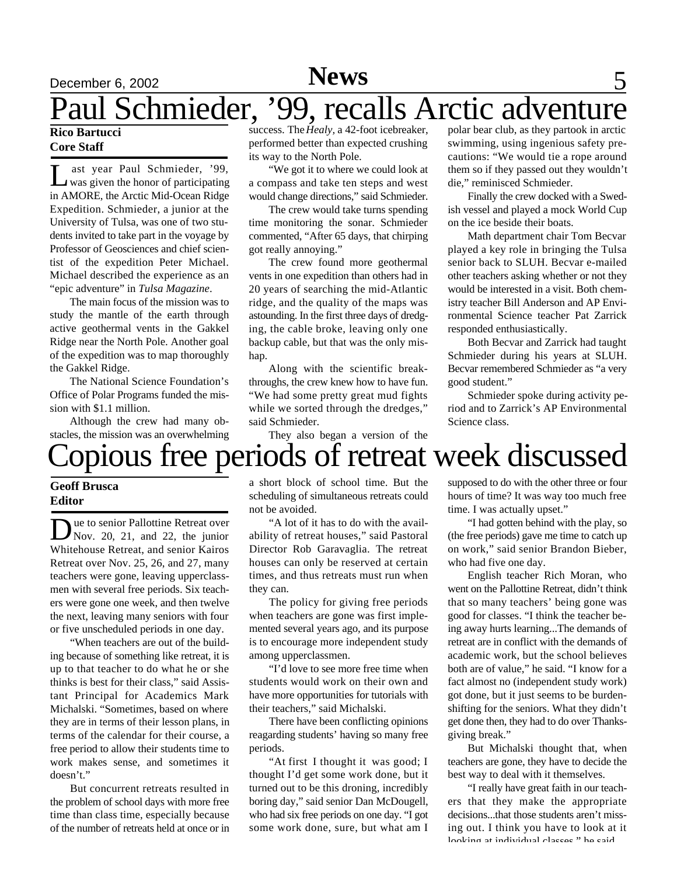# December 6, 2002 **News** 5

# Paul Schmieder, '99, recalls Arctic adventure

### **Rico Bartucci Core Staff**

L ast year Paul Schmieder, '99,<br>was given the honor of participating ast year Paul Schmieder, '99, in AMORE, the Arctic Mid-Ocean Ridge Expedition. Schmieder, a junior at the University of Tulsa, was one of two students invited to take part in the voyage by Professor of Geosciences and chief scientist of the expedition Peter Michael. Michael described the experience as an "epic adventure" in *Tulsa Magazine*.

The main focus of the mission was to study the mantle of the earth through active geothermal vents in the Gakkel Ridge near the North Pole. Another goal of the expedition was to map thoroughly the Gakkel Ridge.

The National Science Foundation's Office of Polar Programs funded the mission with \$1.1 million.

Although the crew had many obstacles, the mission was an overwhelming

success. The *Healy,* a 42-foot icebreaker, performed better than expected crushing its way to the North Pole.

"We got it to where we could look at a compass and take ten steps and west would change directions," said Schmieder.

The crew would take turns spending time monitoring the sonar. Schmieder commented, "After 65 days, that chirping got really annoying."

The crew found more geothermal vents in one expedition than others had in 20 years of searching the mid-Atlantic ridge, and the quality of the maps was astounding. In the first three days of dredging, the cable broke, leaving only one backup cable, but that was the only mishap.

Along with the scientific breakthroughs, the crew knew how to have fun. "We had some pretty great mud fights while we sorted through the dredges," said Schmieder.

They also began a version of the

polar bear club, as they partook in arctic swimming, using ingenious safety precautions: "We would tie a rope around them so if they passed out they wouldn't die," reminisced Schmieder.

Finally the crew docked with a Swedish vessel and played a mock World Cup on the ice beside their boats.

Math department chair Tom Becvar played a key role in bringing the Tulsa senior back to SLUH. Becvar e-mailed other teachers asking whether or not they would be interested in a visit. Both chemistry teacher Bill Anderson and AP Environmental Science teacher Pat Zarrick responded enthusiastically.

Both Becvar and Zarrick had taught Schmieder during his years at SLUH. Becvar remembered Schmieder as "a very good student."

Schmieder spoke during activity period and to Zarrick's AP Environmental Science class.

# opious free periods of retreat week discussed

### **Geoff Brusca Editor**

Due to senior Pallottine Retreat over<br>Nov. 20, 21, and 22, the junior ue to senior Pallottine Retreat over Whitehouse Retreat, and senior Kairos Retreat over Nov. 25, 26, and 27, many teachers were gone, leaving upperclassmen with several free periods. Six teachers were gone one week, and then twelve the next, leaving many seniors with four or five unscheduled periods in one day.

"When teachers are out of the building because of something like retreat, it is up to that teacher to do what he or she thinks is best for their class," said Assistant Principal for Academics Mark Michalski. "Sometimes, based on where they are in terms of their lesson plans, in terms of the calendar for their course, a free period to allow their students time to work makes sense, and sometimes it doesn't."

But concurrent retreats resulted in the problem of school days with more free time than class time, especially because of the number of retreats held at once or in

a short block of school time. But the scheduling of simultaneous retreats could not be avoided.

"A lot of it has to do with the availability of retreat houses," said Pastoral Director Rob Garavaglia. The retreat houses can only be reserved at certain times, and thus retreats must run when they can.

The policy for giving free periods when teachers are gone was first implemented several years ago, and its purpose is to encourage more independent study among upperclassmen.

"I'd love to see more free time when students would work on their own and have more opportunities for tutorials with their teachers," said Michalski.

There have been conflicting opinions reagarding students' having so many free periods.

"At first I thought it was good; I thought I'd get some work done, but it turned out to be this droning, incredibly boring day," said senior Dan McDougell, who had six free periods on one day. "I got some work done, sure, but what am I

supposed to do with the other three or four hours of time? It was way too much free time. I was actually upset."

"I had gotten behind with the play, so (the free periods) gave me time to catch up on work," said senior Brandon Bieber, who had five one day.

English teacher Rich Moran, who went on the Pallottine Retreat, didn't think that so many teachers' being gone was good for classes. "I think the teacher being away hurts learning...The demands of retreat are in conflict with the demands of academic work, but the school believes both are of value," he said. "I know for a fact almost no (independent study work) got done, but it just seems to be burdenshifting for the seniors. What they didn't get done then, they had to do over Thanksgiving break."

But Michalski thought that, when teachers are gone, they have to decide the best way to deal with it themselves.

"I really have great faith in our teachers that they make the appropriate decisions...that those students aren't missing out. I think you have to look at it looking at individual classes," he said.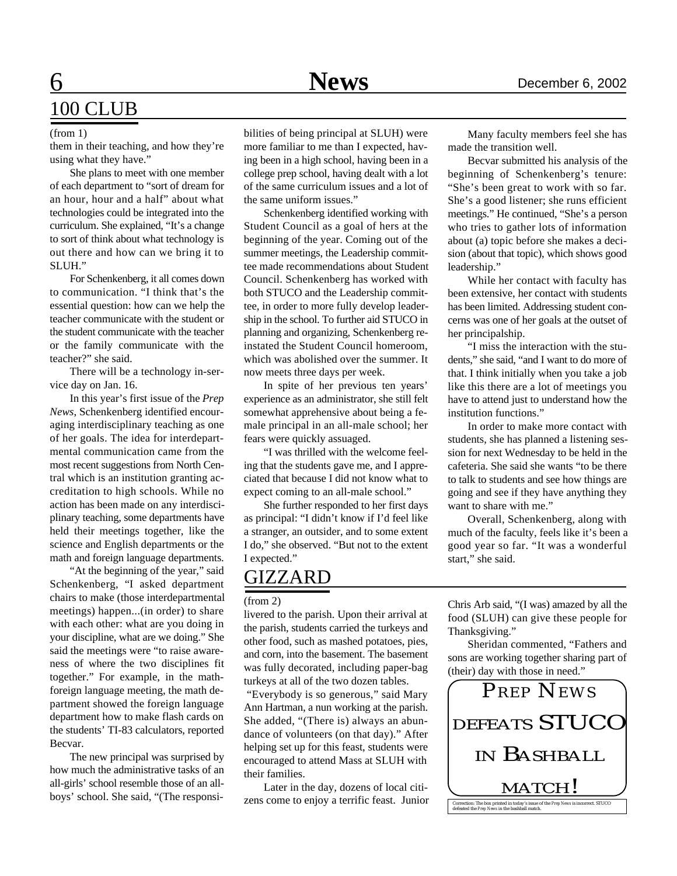## 6 **News** December 6, 2002 100 CLUB

them in their teaching, and how they're using what they have."

She plans to meet with one member of each department to "sort of dream for an hour, hour and a half" about what technologies could be integrated into the curriculum. She explained, "It's a change to sort of think about what technology is out there and how can we bring it to SLUH."

For Schenkenberg, it all comes down to communication. "I think that's the essential question: how can we help the teacher communicate with the student or the student communicate with the teacher or the family communicate with the teacher?" she said.

There will be a technology in-service day on Jan. 16.

In this year's first issue of the *Prep News*, Schenkenberg identified encouraging interdisciplinary teaching as one of her goals. The idea for interdepartmental communication came from the most recent suggestions from North Central which is an institution granting accreditation to high schools. While no action has been made on any interdisciplinary teaching, some departments have held their meetings together, like the science and English departments or the math and foreign language departments.

"At the beginning of the year," said Schenkenberg, "I asked department chairs to make (those interdepartmental meetings) happen...(in order) to share with each other: what are you doing in your discipline, what are we doing." She said the meetings were "to raise awareness of where the two disciplines fit together." For example, in the mathforeign language meeting, the math department showed the foreign language department how to make flash cards on the students' TI-83 calculators, reported Becvar.

The new principal was surprised by how much the administrative tasks of an all-girls' school resemble those of an allboys' school. She said, "(The responsi-

(from 1) bilities of being principal at SLUH) were more familiar to me than I expected, having been in a high school, having been in a college prep school, having dealt with a lot of the same curriculum issues and a lot of the same uniform issues."

> Schenkenberg identified working with Student Council as a goal of hers at the beginning of the year. Coming out of the summer meetings, the Leadership committee made recommendations about Student Council. Schenkenberg has worked with both STUCO and the Leadership committee, in order to more fully develop leadership in the school. To further aid STUCO in planning and organizing, Schenkenberg reinstated the Student Council homeroom, which was abolished over the summer. It now meets three days per week.

> In spite of her previous ten years' experience as an administrator, she still felt somewhat apprehensive about being a female principal in an all-male school; her fears were quickly assuaged.

> "I was thrilled with the welcome feeling that the students gave me, and I appreciated that because I did not know what to expect coming to an all-male school."

> She further responded to her first days as principal: "I didn't know if I'd feel like a stranger, an outsider, and to some extent I do," she observed. "But not to the extent I expected."

### **GIZZARD**

livered to the parish. Upon their arrival at the parish, students carried the turkeys and other food, such as mashed potatoes, pies, and corn, into the basement. The basement was fully decorated, including paper-bag turkeys at all of the two dozen tables.

 "Everybody is so generous," said Mary Ann Hartman, a nun working at the parish. She added, "(There is) always an abundance of volunteers (on that day)." After helping set up for this feast, students were encouraged to attend Mass at SLUH with their families.

Later in the day, dozens of local citizens come to enjoy a terrific feast. Junior

Many faculty members feel she has made the transition well.

Becvar submitted his analysis of the beginning of Schenkenberg's tenure: "She's been great to work with so far. She's a good listener; she runs efficient meetings." He continued, "She's a person who tries to gather lots of information about (a) topic before she makes a decision (about that topic), which shows good leadership."

While her contact with faculty has been extensive, her contact with students has been limited. Addressing student concerns was one of her goals at the outset of her principalship.

"I miss the interaction with the students," she said, "and I want to do more of that. I think initially when you take a job like this there are a lot of meetings you have to attend just to understand how the institution functions."

In order to make more contact with students, she has planned a listening session for next Wednesday to be held in the cafeteria. She said she wants "to be there to talk to students and see how things are going and see if they have anything they want to share with me."

Overall, Schenkenberg, along with much of the faculty, feels like it's been a good year so far. "It was a wonderful start," she said.

(from 2) Chris Arb said, "(I was) amazed by all the food (SLUH) can give these people for Thanksgiving."

> Sheridan commented, "Fathers and sons are working together sharing part of (their) day with those in need."

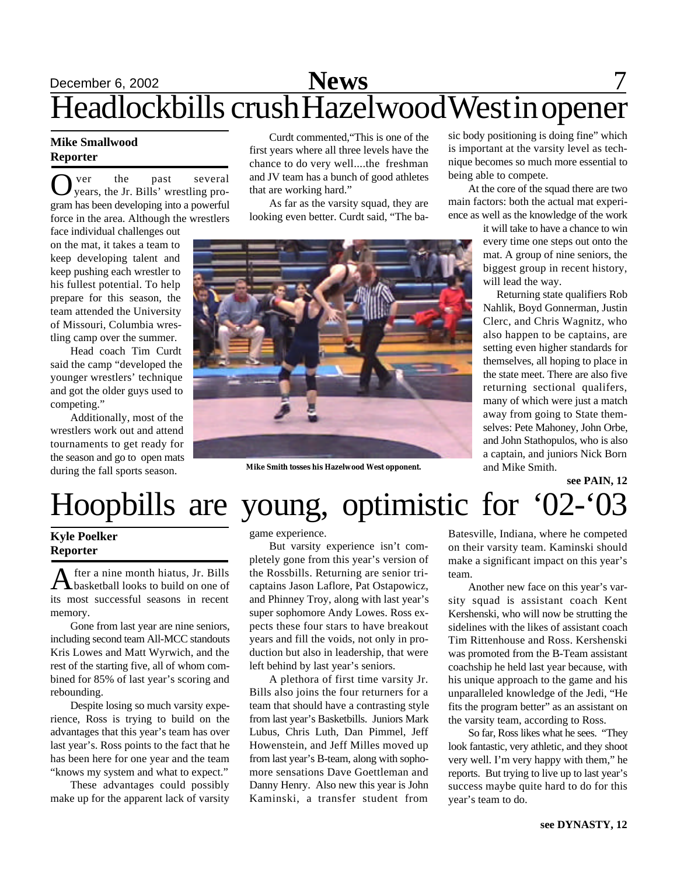# December 6, 2002 **News** 7 Headlockbills crush Hazelwood West in opener

### **Mike Smallwood Reporter**

O ver the past several<br>
years, the Jr. Bills' wrestling proyears, the Jr. Bills' wrestling program has been developing into a powerful force in the area. Although the wrestlers

face individual challenges out on the mat, it takes a team to keep developing talent and keep pushing each wrestler to his fullest potential. To help prepare for this season, the team attended the University of Missouri, Columbia wrestling camp over the summer.

Head coach Tim Curdt said the camp "developed the younger wrestlers' technique and got the older guys used to competing."

Additionally, most of the wrestlers work out and attend tournaments to get ready for the season and go to open mats during the fall sports season.

Curdt commented,"This is one of the first years where all three levels have the chance to do very well....the freshman and JV team has a bunch of good athletes that are working hard."

As far as the varsity squad, they are looking even better. Curdt said, "The ba-



**Mike Smith tosses his Hazelwood West opponent.** and Mike Smith.

sic body positioning is doing fine" which is important at the varsity level as technique becomes so much more essential to being able to compete.

At the core of the squad there are two main factors: both the actual mat experience as well as the knowledge of the work

> it will take to have a chance to win every time one steps out onto the mat. A group of nine seniors, the biggest group in recent history, will lead the way.

> Returning state qualifiers Rob Nahlik, Boyd Gonnerman, Justin Clerc, and Chris Wagnitz, who also happen to be captains, are setting even higher standards for themselves, all hoping to place in the state meet. There are also five returning sectional qualifers, many of which were just a match away from going to State themselves: Pete Mahoney, John Orbe, and John Stathopulos, who is also a captain, and juniors Nick Born

> > **see PAIN, 12**

# Hoopbills are young, optimistic for '02-'03

### **Kyle Poelker Reporter**

A fter a nine month hiatus, Jr. Bills<br>basketball looks to build on one of fter a nine month hiatus, Jr. Bills its most successful seasons in recent memory.

Gone from last year are nine seniors, including second team All-MCC standouts Kris Lowes and Matt Wyrwich, and the rest of the starting five, all of whom combined for 85% of last year's scoring and rebounding.

Despite losing so much varsity experience, Ross is trying to build on the advantages that this year's team has over last year's. Ross points to the fact that he has been here for one year and the team "knows my system and what to expect."

These advantages could possibly make up for the apparent lack of varsity game experience.

But varsity experience isn't completely gone from this year's version of the Rossbills. Returning are senior tricaptains Jason Laflore, Pat Ostapowicz, and Phinney Troy, along with last year's super sophomore Andy Lowes. Ross expects these four stars to have breakout years and fill the voids, not only in production but also in leadership, that were left behind by last year's seniors.

A plethora of first time varsity Jr. Bills also joins the four returners for a team that should have a contrasting style from last year's Basketbills. Juniors Mark Lubus, Chris Luth, Dan Pimmel, Jeff Howenstein, and Jeff Milles moved up from last year's B-team, along with sophomore sensations Dave Goettleman and Danny Henry. Also new this year is John Kaminski, a transfer student from

Batesville, Indiana, where he competed on their varsity team. Kaminski should make a significant impact on this year's team.

Another new face on this year's varsity squad is assistant coach Kent Kershenski, who will now be strutting the sidelines with the likes of assistant coach Tim Rittenhouse and Ross. Kershenski was promoted from the B-Team assistant coachship he held last year because, with his unique approach to the game and his unparalleled knowledge of the Jedi, "He fits the program better" as an assistant on the varsity team, according to Ross.

So far, Ross likes what he sees. "They look fantastic, very athletic, and they shoot very well. I'm very happy with them," he reports. But trying to live up to last year's success maybe quite hard to do for this year's team to do.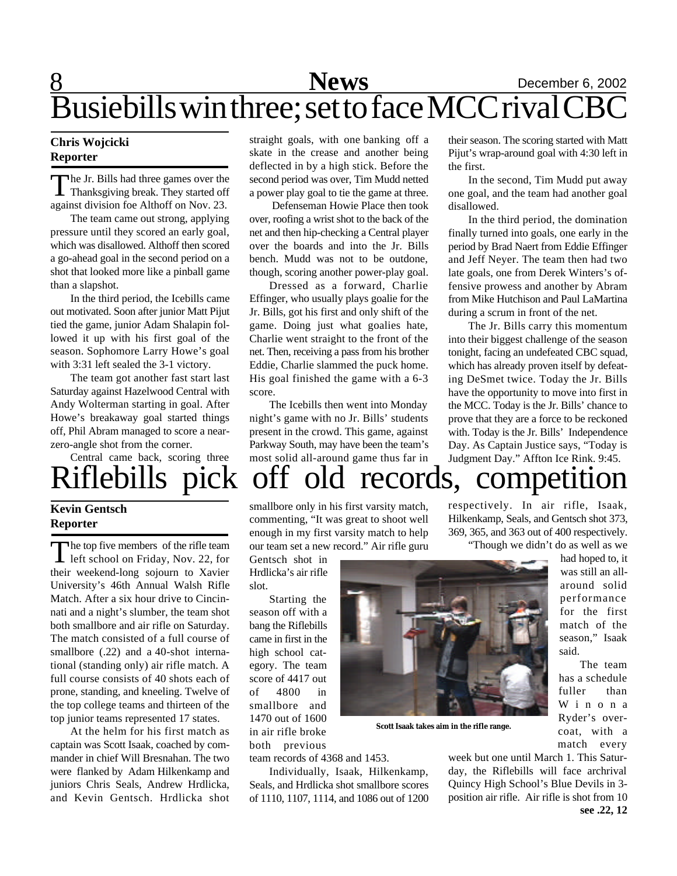## 8 **News** December 6, 2002 Busiebills win three; set to face MCC rival CBC

### **Chris Wojcicki Reporter**

Thanksgiving break. They started off<br>Thanksgiving break. They started off he Jr. Bills had three games over the against division foe Althoff on Nov. 23.

The team came out strong, applying pressure until they scored an early goal, which was disallowed. Althoff then scored a go-ahead goal in the second period on a shot that looked more like a pinball game than a slapshot.

In the third period, the Icebills came out motivated. Soon after junior Matt Pijut tied the game, junior Adam Shalapin followed it up with his first goal of the season. Sophomore Larry Howe's goal with 3:31 left sealed the 3-1 victory.

The team got another fast start last Saturday against Hazelwood Central with Andy Wolterman starting in goal. After Howe's breakaway goal started things off, Phil Abram managed to score a nearzero-angle shot from the corner.

Central came back, scoring three

### **Kevin Gentsch Reporter**

The top five members of the rifle team<br>left school on Friday, Nov. 22, for The top five members of the rifle team their weekend-long sojourn to Xavier University's 46th Annual Walsh Rifle Match. After a six hour drive to Cincinnati and a night's slumber, the team shot both smallbore and air rifle on Saturday. The match consisted of a full course of smallbore (.22) and a 40-shot international (standing only) air rifle match. A full course consists of 40 shots each of prone, standing, and kneeling. Twelve of the top college teams and thirteen of the top junior teams represented 17 states.

At the helm for his first match as captain was Scott Isaak, coached by commander in chief Will Bresnahan. The two were flanked by Adam Hilkenkamp and juniors Chris Seals, Andrew Hrdlicka, and Kevin Gentsch. Hrdlicka shot

straight goals, with one banking off a skate in the crease and another being deflected in by a high stick. Before the second period was over, Tim Mudd netted a power play goal to tie the game at three.

 Defenseman Howie Place then took over, roofing a wrist shot to the back of the net and then hip-checking a Central player over the boards and into the Jr. Bills bench. Mudd was not to be outdone, though, scoring another power-play goal.

Dressed as a forward, Charlie Effinger, who usually plays goalie for the Jr. Bills, got his first and only shift of the game. Doing just what goalies hate, Charlie went straight to the front of the net. Then, receiving a pass from his brother Eddie, Charlie slammed the puck home. His goal finished the game with a 6-3 score.

The Icebills then went into Monday night's game with no Jr. Bills' students present in the crowd. This game, against Parkway South, may have been the team's most solid all-around game thus far in

their season. The scoring started with Matt Pijut's wrap-around goal with 4:30 left in the first.

In the second, Tim Mudd put away one goal, and the team had another goal disallowed.

In the third period, the domination finally turned into goals, one early in the period by Brad Naert from Eddie Effinger and Jeff Neyer. The team then had two late goals, one from Derek Winters's offensive prowess and another by Abram from Mike Hutchison and Paul LaMartina during a scrum in front of the net.

The Jr. Bills carry this momentum into their biggest challenge of the season tonight, facing an undefeated CBC squad, which has already proven itself by defeating DeSmet twice. Today the Jr. Bills have the opportunity to move into first in the MCC. Today is the Jr. Bills' chance to prove that they are a force to be reckoned with. Today is the Jr. Bills' Independence Day. As Captain Justice says, "Today is Judgment Day." Affton Ice Rink. 9:45.

# iflebills pick off old records, competition

smallbore only in his first varsity match, commenting, "It was great to shoot well enough in my first varsity match to help our team set a new record." Air rifle guru

Gentsch shot in Hrdlicka's air rifle slot.

Starting the season off with a bang the Riflebills came in first in the high school category. The team score of 4417 out of 4800 in smallbore and 1470 out of 1600 in air rifle broke both previous

team records of 4368 and 1453.

Individually, Isaak, Hilkenkamp, Seals, and Hrdlicka shot smallbore scores of 1110, 1107, 1114, and 1086 out of 1200 respectively. In air rifle, Isaak, Hilkenkamp, Seals, and Gentsch shot 373, 369, 365, and 363 out of 400 respectively. "Though we didn't do as well as we

> had hoped to, it was still an allaround solid performance for the first match of the season," Isaak said.

> The team has a schedule fuller than W i n o n a Ryder's overcoat, with a match every

week but one until March 1. This Saturday, the Riflebills will face archrival Quincy High School's Blue Devils in 3 position air rifle. Air rifle is shot from 10 **see .22, 12**



**Scott Isaak takes aim in the rifle range.**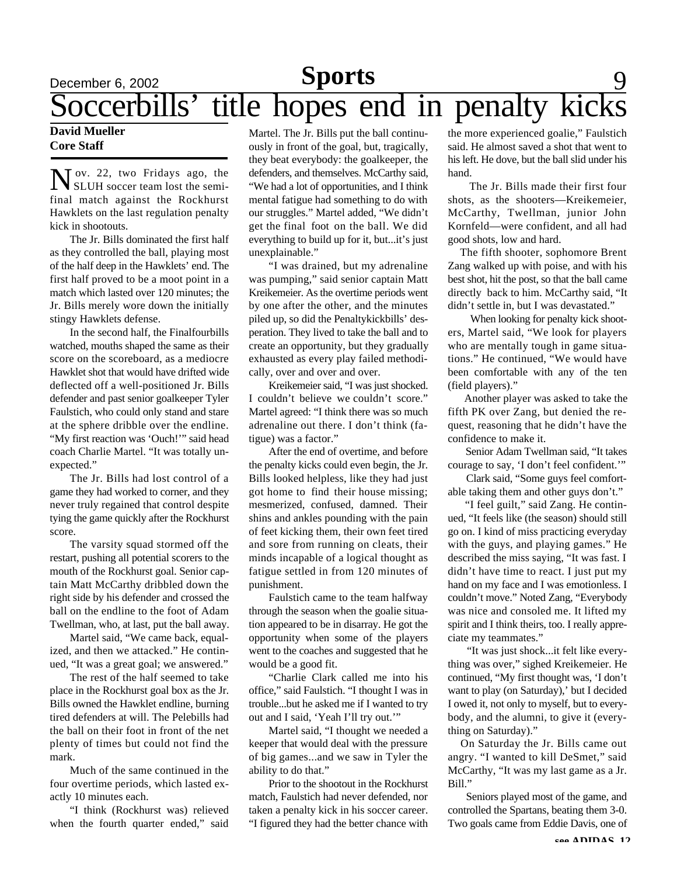### **December 6, 2002 Sports** 9 Soccerbills' title hopes end in penalty kicks **Sports**

### **David Mueller Core Staff**

N ov. 22, two Fridays ago, the<br>SLUH soccer team lost the semi-SLUH soccer team lost the semifinal match against the Rockhurst Hawklets on the last regulation penalty kick in shootouts.

The Jr. Bills dominated the first half as they controlled the ball, playing most of the half deep in the Hawklets' end. The first half proved to be a moot point in a match which lasted over 120 minutes; the Jr. Bills merely wore down the initially stingy Hawklets defense.

In the second half, the Finalfourbills watched, mouths shaped the same as their score on the scoreboard, as a mediocre Hawklet shot that would have drifted wide deflected off a well-positioned Jr. Bills defender and past senior goalkeeper Tyler Faulstich, who could only stand and stare at the sphere dribble over the endline. "My first reaction was 'Ouch!'" said head coach Charlie Martel. "It was totally unexpected."

The Jr. Bills had lost control of a game they had worked to corner, and they never truly regained that control despite tying the game quickly after the Rockhurst score.

The varsity squad stormed off the restart, pushing all potential scorers to the mouth of the Rockhurst goal. Senior captain Matt McCarthy dribbled down the right side by his defender and crossed the ball on the endline to the foot of Adam Twellman, who, at last, put the ball away.

Martel said, "We came back, equalized, and then we attacked." He continued, "It was a great goal; we answered."

The rest of the half seemed to take place in the Rockhurst goal box as the Jr. Bills owned the Hawklet endline, burning tired defenders at will. The Pelebills had the ball on their foot in front of the net plenty of times but could not find the mark.

Much of the same continued in the four overtime periods, which lasted exactly 10 minutes each.

"I think (Rockhurst was) relieved when the fourth quarter ended," said

Martel. The Jr. Bills put the ball continuously in front of the goal, but, tragically, they beat everybody: the goalkeeper, the defenders, and themselves. McCarthy said, "We had a lot of opportunities, and I think mental fatigue had something to do with our struggles." Martel added, "We didn't get the final foot on the ball. We did everything to build up for it, but...it's just unexplainable."

"I was drained, but my adrenaline was pumping," said senior captain Matt Kreikemeier. As the overtime periods went by one after the other, and the minutes piled up, so did the Penaltykickbills' desperation. They lived to take the ball and to create an opportunity, but they gradually exhausted as every play failed methodically, over and over and over.

Kreikemeier said, "I was just shocked. I couldn't believe we couldn't score." Martel agreed: "I think there was so much adrenaline out there. I don't think (fatigue) was a factor."

After the end of overtime, and before the penalty kicks could even begin, the Jr. Bills looked helpless, like they had just got home to find their house missing; mesmerized, confused, damned. Their shins and ankles pounding with the pain of feet kicking them, their own feet tired and sore from running on cleats, their minds incapable of a logical thought as fatigue settled in from 120 minutes of punishment.

Faulstich came to the team halfway through the season when the goalie situation appeared to be in disarray. He got the opportunity when some of the players went to the coaches and suggested that he would be a good fit.

"Charlie Clark called me into his office," said Faulstich. "I thought I was in trouble...but he asked me if I wanted to try out and I said, 'Yeah I'll try out.'"

Martel said, "I thought we needed a keeper that would deal with the pressure of big games...and we saw in Tyler the ability to do that."

Prior to the shootout in the Rockhurst match, Faulstich had never defended, nor taken a penalty kick in his soccer career. "I figured they had the better chance with

the more experienced goalie," Faulstich said. He almost saved a shot that went to his left. He dove, but the ball slid under his hand.

 The Jr. Bills made their first four shots, as the shooters—Kreikemeier, McCarthy, Twellman, junior John Kornfeld—were confident, and all had good shots, low and hard.

 The fifth shooter, sophomore Brent Zang walked up with poise, and with his best shot, hit the post, so that the ball came directly back to him. McCarthy said, "It didn't settle in, but I was devastated."

 When looking for penalty kick shooters, Martel said, "We look for players who are mentally tough in game situations." He continued, "We would have been comfortable with any of the ten (field players)."

 Another player was asked to take the fifth PK over Zang, but denied the request, reasoning that he didn't have the confidence to make it.

 Senior Adam Twellman said, "It takes courage to say, 'I don't feel confident.'"

 Clark said, "Some guys feel comfortable taking them and other guys don't."

 "I feel guilt," said Zang. He continued, "It feels like (the season) should still go on. I kind of miss practicing everyday with the guys, and playing games." He described the miss saying, "It was fast. I didn't have time to react. I just put my hand on my face and I was emotionless. I couldn't move." Noted Zang, "Everybody was nice and consoled me. It lifted my spirit and I think theirs, too. I really appreciate my teammates."

 "It was just shock...it felt like everything was over," sighed Kreikemeier. He continued, "My first thought was, 'I don't want to play (on Saturday),' but I decided I owed it, not only to myself, but to everybody, and the alumni, to give it (everything on Saturday)."

 On Saturday the Jr. Bills came out angry. "I wanted to kill DeSmet," said McCarthy, "It was my last game as a Jr. Bill."

 Seniors played most of the game, and controlled the Spartans, beating them 3-0. Two goals came from Eddie Davis, one of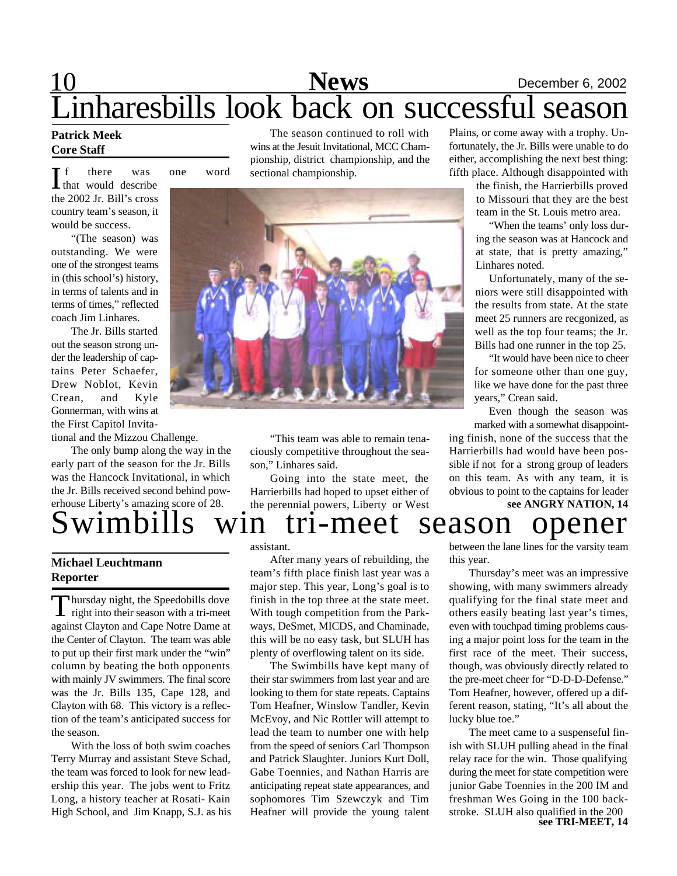# 10 **News** December 6, 2002 Linharesbills look back on successful season

### **Patrick Meek Core Staff**

f there was one word

 $\prod_{\text{that would describe}}$ the 2002 Jr. Bill's cross country team's season, it would be success.

"(The season) was outstanding. We were one of the strongest teams in (this school's) history, in terms of talents and in terms of times," reflected coach Jim Linhares.

The Jr. Bills started out the season strong under the leadership of captains Peter Schaefer, Drew Noblot, Kevin Crean, and Kyle Gonnerman, with wins at the First Capitol Invita-

tional and the Mizzou Challenge.

The only bump along the way in the early part of the season for the Jr. Bills was the Hancock Invitational, in which the Jr. Bills received second behind powerhouse Liberty's amazing score of 28.

The season continued to roll with wins at the Jesuit Invitational, MCC Championship, district championship, and the sectional championship.



"This team was able to remain tenaciously competitive throughout the season," Linhares said.

Going into the state meet, the Harrierbills had hoped to upset either of the perennial powers, Liberty or West Plains, or come away with a trophy. Unfortunately, the Jr. Bills were unable to do either, accomplishing the next best thing: fifth place. Although disappointed with

the finish, the Harrierbills proved to Missouri that they are the best team in the St. Louis metro area.

"When the teams' only loss during the season was at Hancock and at state, that is pretty amazing," Linhares noted.

Unfortunately, many of the seniors were still disappointed with the results from state. At the state meet 25 runners are recgonized, as well as the top four teams; the Jr. Bills had one runner in the top 25.

"It would have been nice to cheer for someone other than one guy, like we have done for the past three years," Crean said.

Even though the season was marked with a somewhat disappoint-

ing finish, none of the success that the Harrierbills had would have been possible if not for a strong group of leaders on this team. As with any team, it is obvious to point to the captains for leader

### wimbills win tri-meet season opener **see ANGRY NATION, 14**

### **Michael Leuchtmann Reporter**

Thursday night, the Speedobills dove<br>right into their season with a tri-meet hursday night, the Speedobills dove against Clayton and Cape Notre Dame at the Center of Clayton. The team was able to put up their first mark under the "win" column by beating the both opponents with mainly JV swimmers. The final score was the Jr. Bills 135, Cape 128, and Clayton with 68. This victory is a reflection of the team's anticipated success for the season.

With the loss of both swim coaches Terry Murray and assistant Steve Schad, the team was forced to look for new leadership this year. The jobs went to Fritz Long, a history teacher at Rosati- Kain High School, and Jim Knapp, S.J. as his assistant.

After many years of rebuilding, the team's fifth place finish last year was a major step. This year, Long's goal is to finish in the top three at the state meet. With tough competition from the Parkways, DeSmet, MICDS, and Chaminade, this will be no easy task, but SLUH has plenty of overflowing talent on its side.

The Swimbills have kept many of their star swimmers from last year and are looking to them for state repeats. Captains Tom Heafner, Winslow Tandler, Kevin McEvoy, and Nic Rottler will attempt to lead the team to number one with help from the speed of seniors Carl Thompson and Patrick Slaughter. Juniors Kurt Doll, Gabe Toennies, and Nathan Harris are anticipating repeat state appearances, and sophomores Tim Szewczyk and Tim Heafner will provide the young talent

between the lane lines for the varsity team this year.

Thursday's meet was an impressive showing, with many swimmers already qualifying for the final state meet and others easily beating last year's times, even with touchpad timing problems causing a major point loss for the team in the first race of the meet. Their success, though, was obviously directly related to the pre-meet cheer for "D-D-D-Defense." Tom Heafner, however, offered up a different reason, stating, "It's all about the lucky blue toe."

The meet came to a suspenseful finish with SLUH pulling ahead in the final relay race for the win. Those qualifying during the meet for state competition were junior Gabe Toennies in the 200 IM and freshman Wes Going in the 100 backstroke. SLUH also qualified in the 200 **see TRI-MEET, 14**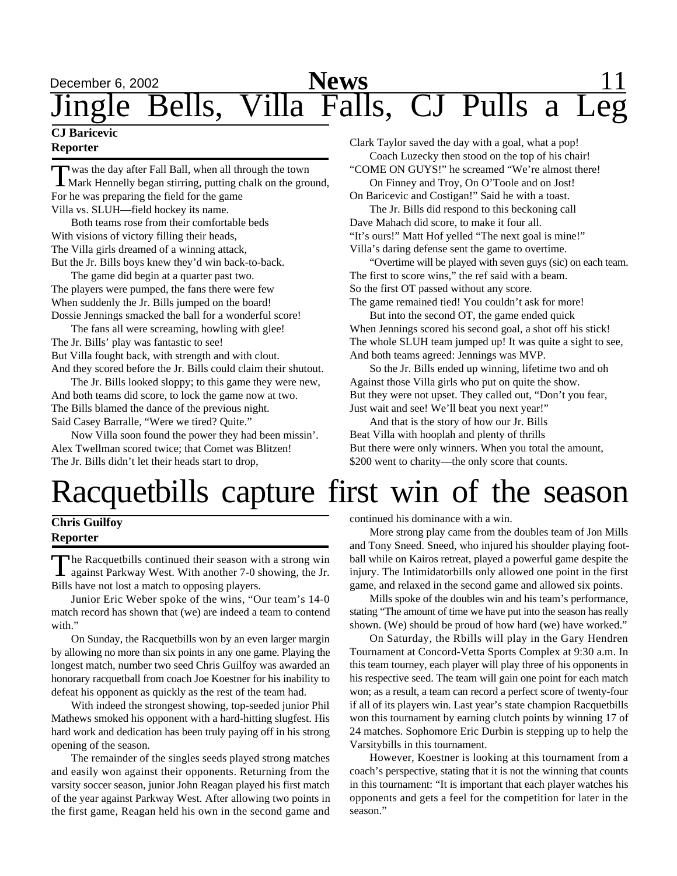## December 6, 2002 **News** 11 Jingle Bells, Villa Falls, CJ Pulls a Leg

### **CJ Baricevic Reporter**

Twas the day after Fall Ball, when all through the town<br>Mark Hennelly began stirring, putting chalk on the ground, was the day after Fall Ball, when all through the town For he was preparing the field for the game Villa vs. SLUH—field hockey its name.

Both teams rose from their comfortable beds With visions of victory filling their heads, The Villa girls dreamed of a winning attack, But the Jr. Bills boys knew they'd win back-to-back.

The game did begin at a quarter past two. The players were pumped, the fans there were few When suddenly the Jr. Bills jumped on the board! Dossie Jennings smacked the ball for a wonderful score!

The fans all were screaming, howling with glee! The Jr. Bills' play was fantastic to see! But Villa fought back, with strength and with clout. And they scored before the Jr. Bills could claim their shutout.

The Jr. Bills looked sloppy; to this game they were new, And both teams did score, to lock the game now at two. The Bills blamed the dance of the previous night. Said Casey Barralle, "Were we tired? Quite."

Now Villa soon found the power they had been missin'. Alex Twellman scored twice; that Comet was Blitzen! The Jr. Bills didn't let their heads start to drop,

Clark Taylor saved the day with a goal, what a pop! Coach Luzecky then stood on the top of his chair! "COME ON GUYS!" he screamed "We're almost there! On Finney and Troy, On O'Toole and on Jost!

On Baricevic and Costigan!" Said he with a toast. The Jr. Bills did respond to this beckoning call Dave Mahach did score, to make it four all. "It's ours!" Matt Hof yelled "The next goal is mine!" Villa's daring defense sent the game to overtime.

"Overtime will be played with seven guys (sic) on each team. The first to score wins," the ref said with a beam. So the first OT passed without any score. The game remained tied! You couldn't ask for more!

But into the second OT, the game ended quick When Jennings scored his second goal, a shot off his stick! The whole SLUH team jumped up! It was quite a sight to see, And both teams agreed: Jennings was MVP.

So the Jr. Bills ended up winning, lifetime two and oh Against those Villa girls who put on quite the show. But they were not upset. They called out, "Don't you fear, Just wait and see! We'll beat you next year!"

And that is the story of how our Jr. Bills Beat Villa with hooplah and plenty of thrills But there were only winners. When you total the amount, \$200 went to charity—the only score that counts.

# Racquetbills capture first win of the season

### **Chris Guilfoy Reporter**

The Racquetbills continued their season with a strong win<br>against Parkway West. With another 7-0 showing, the Jr. against Parkway West. With another 7-0 showing, the Jr. Bills have not lost a match to opposing players.

Junior Eric Weber spoke of the wins, "Our team's 14-0 match record has shown that (we) are indeed a team to contend with."

On Sunday, the Racquetbills won by an even larger margin by allowing no more than six points in any one game. Playing the longest match, number two seed Chris Guilfoy was awarded an honorary racquetball from coach Joe Koestner for his inability to defeat his opponent as quickly as the rest of the team had.

With indeed the strongest showing, top-seeded junior Phil Mathews smoked his opponent with a hard-hitting slugfest. His hard work and dedication has been truly paying off in his strong opening of the season.

The remainder of the singles seeds played strong matches and easily won against their opponents. Returning from the varsity soccer season, junior John Reagan played his first match of the year against Parkway West. After allowing two points in the first game, Reagan held his own in the second game and

continued his dominance with a win.

More strong play came from the doubles team of Jon Mills and Tony Sneed. Sneed, who injured his shoulder playing football while on Kairos retreat, played a powerful game despite the injury. The Intimidatorbills only allowed one point in the first game, and relaxed in the second game and allowed six points.

Mills spoke of the doubles win and his team's performance, stating "The amount of time we have put into the season has really shown. (We) should be proud of how hard (we) have worked."

On Saturday, the Rbills will play in the Gary Hendren Tournament at Concord-Vetta Sports Complex at 9:30 a.m. In this team tourney, each player will play three of his opponents in his respective seed. The team will gain one point for each match won; as a result, a team can record a perfect score of twenty-four if all of its players win. Last year's state champion Racquetbills won this tournament by earning clutch points by winning 17 of 24 matches. Sophomore Eric Durbin is stepping up to help the Varsitybills in this tournament.

However, Koestner is looking at this tournament from a coach's perspective, stating that it is not the winning that counts in this tournament: "It is important that each player watches his opponents and gets a feel for the competition for later in the season."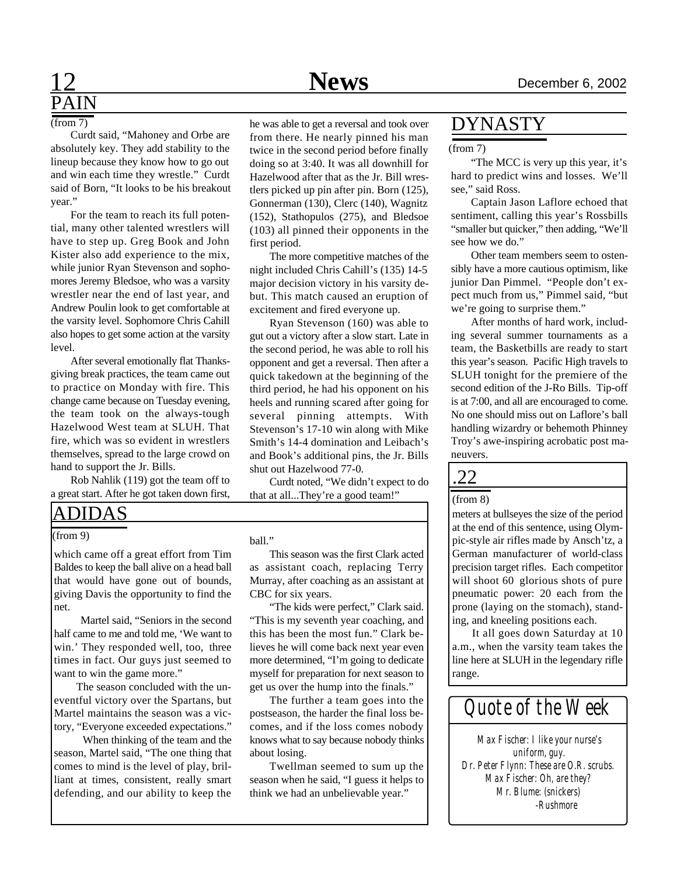# PAIN

Curdt said, "Mahoney and Orbe are absolutely key. They add stability to the lineup because they know how to go out and win each time they wrestle." Curdt said of Born, "It looks to be his breakout year."

For the team to reach its full potential, many other talented wrestlers will have to step up. Greg Book and John Kister also add experience to the mix, while junior Ryan Stevenson and sophomores Jeremy Bledsoe, who was a varsity wrestler near the end of last year, and Andrew Poulin look to get comfortable at the varsity level. Sophomore Chris Cahill also hopes to get some action at the varsity level.

After several emotionally flat Thanksgiving break practices, the team came out to practice on Monday with fire. This change came because on Tuesday evening, the team took on the always-tough Hazelwood West team at SLUH. That fire, which was so evident in wrestlers themselves, spread to the large crowd on hand to support the Jr. Bills.

Rob Nahlik (119) got the team off to a great start. After he got taken down first,

### ADIDAS

#### (from 9)

which came off a great effort from Tim Baldes to keep the ball alive on a head ball that would have gone out of bounds, giving Davis the opportunity to find the net.

 Martel said, "Seniors in the second half came to me and told me, 'We want to win.' They responded well, too, three times in fact. Our guys just seemed to want to win the game more."

 The season concluded with the uneventful victory over the Spartans, but Martel maintains the season was a victory, "Everyone exceeded expectations."

 When thinking of the team and the season, Martel said, "The one thing that comes to mind is the level of play, brilliant at times, consistent, really smart defending, and our ability to keep the

 $(\text{from } 7)$  he was able to get a reversal and took over from there. He nearly pinned his man twice in the second period before finally doing so at 3:40. It was all downhill for Hazelwood after that as the Jr. Bill wrestlers picked up pin after pin. Born (125), Gonnerman (130), Clerc (140), Wagnitz (152), Stathopulos (275), and Bledsoe (103) all pinned their opponents in the first period.

> The more competitive matches of the night included Chris Cahill's (135) 14-5 major decision victory in his varsity debut. This match caused an eruption of excitement and fired everyone up.

> Ryan Stevenson (160) was able to gut out a victory after a slow start. Late in the second period, he was able to roll his opponent and get a reversal. Then after a quick takedown at the beginning of the third period, he had his opponent on his heels and running scared after going for several pinning attempts. With Stevenson's 17-10 win along with Mike Smith's 14-4 domination and Leibach's and Book's additional pins, the Jr. Bills shut out Hazelwood 77-0.

> Curdt noted, "We didn't expect to do that at all...They're a good team!"

#### ball."

This season was the first Clark acted as assistant coach, replacing Terry Murray, after coaching as an assistant at CBC for six years.

"The kids were perfect," Clark said. "This is my seventh year coaching, and this has been the most fun." Clark believes he will come back next year even more determined, "I'm going to dedicate myself for preparation for next season to get us over the hump into the finals."

The further a team goes into the postseason, the harder the final loss becomes, and if the loss comes nobody knows what to say because nobody thinks about losing.

Twellman seemed to sum up the season when he said, "I guess it helps to think we had an unbelievable year."

### DYNASTY

#### (from 7)

"The MCC is very up this year, it's hard to predict wins and losses. We'll see," said Ross.

Captain Jason Laflore echoed that sentiment, calling this year's Rossbills "smaller but quicker," then adding, "We'll see how we do."

Other team members seem to ostensibly have a more cautious optimism, like junior Dan Pimmel. "People don't expect much from us," Pimmel said, "but we're going to surprise them."

After months of hard work, including several summer tournaments as a team, the Basketbills are ready to start this year's season. Pacific High travels to SLUH tonight for the premiere of the second edition of the J-Ro Bills. Tip-off is at 7:00, and all are encouraged to come. No one should miss out on Laflore's ball handling wizardry or behemoth Phinney Troy's awe-inspiring acrobatic post maneuvers.

## .22

### (from 8)

meters at bullseyes the size of the period at the end of this sentence, using Olympic-style air rifles made by Ansch'tz, a German manufacturer of world-class precision target rifles. Each competitor will shoot 60 glorious shots of pure pneumatic power: 20 each from the prone (laying on the stomach), standing, and kneeling positions each.

It all goes down Saturday at 10 a.m., when the varsity team takes the line here at SLUH in the legendary rifle range.



*Max Fischer: I like your nurse's uniform, guy. Dr. Peter Flynn: These are O.R. scrubs. Max Fischer: Oh, are they? Mr. Blume: (snickers) -Rushmore*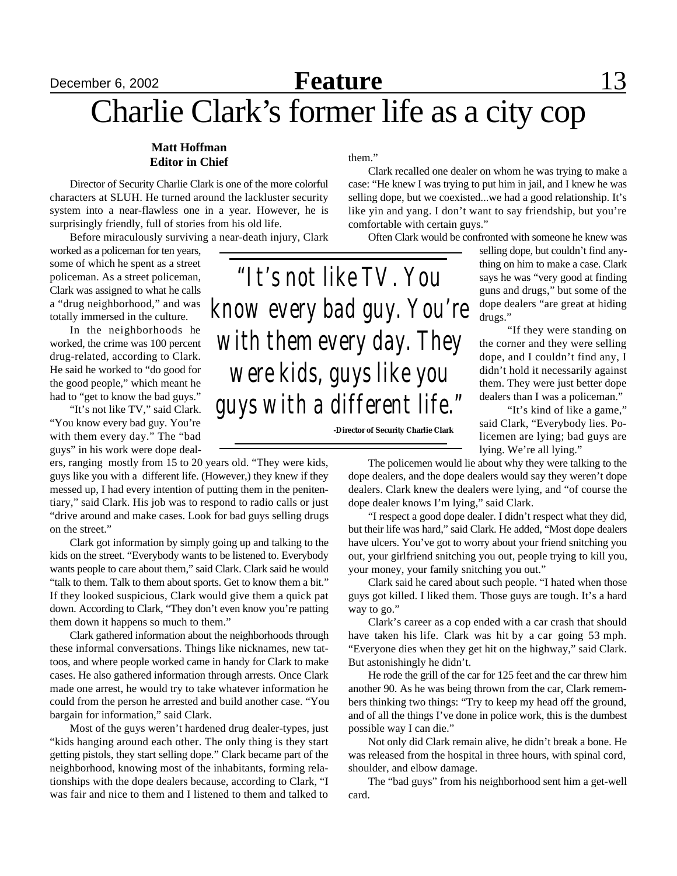## December 6, 2002 **Feature** 13 Charlie Clark's former life as a city cop

### **Matt Hoffman Editor in Chief**

Director of Security Charlie Clark is one of the more colorful characters at SLUH. He turned around the lackluster security system into a near-flawless one in a year. However, he is surprisingly friendly, full of stories from his old life.

Before miraculously surviving a near-death injury, Clark

worked as a policeman for ten years, some of which he spent as a street policeman. As a street policeman, Clark was assigned to what he calls a "drug neighborhood," and was totally immersed in the culture.

In the neighborhoods he worked, the crime was 100 percent drug-related, according to Clark. He said he worked to "do good for the good people," which meant he had to "get to know the bad guys."

"It's not like TV," said Clark. "You know every bad guy. You're with them every day." The "bad guys" in his work were dope deal-

ers, ranging mostly from 15 to 20 years old. "They were kids, guys like you with a different life. (However,) they knew if they messed up, I had every intention of putting them in the penitentiary," said Clark. His job was to respond to radio calls or just "drive around and make cases. Look for bad guys selling drugs on the street."

Clark got information by simply going up and talking to the kids on the street. "Everybody wants to be listened to. Everybody wants people to care about them," said Clark. Clark said he would "talk to them. Talk to them about sports. Get to know them a bit." If they looked suspicious, Clark would give them a quick pat down. According to Clark, "They don't even know you're patting them down it happens so much to them."

Clark gathered information about the neighborhoods through these informal conversations. Things like nicknames, new tattoos, and where people worked came in handy for Clark to make cases. He also gathered information through arrests. Once Clark made one arrest, he would try to take whatever information he could from the person he arrested and build another case. "You bargain for information," said Clark.

Most of the guys weren't hardened drug dealer-types, just "kids hanging around each other. The only thing is they start getting pistols, they start selling dope." Clark became part of the neighborhood, knowing most of the inhabitants, forming relationships with the dope dealers because, according to Clark, "I was fair and nice to them and I listened to them and talked to them."

Clark recalled one dealer on whom he was trying to make a case: "He knew I was trying to put him in jail, and I knew he was selling dope, but we coexisted...we had a good relationship. It's like yin and yang. I don't want to say friendship, but you're comfortable with certain guys."

Often Clark would be confronted with someone he knew was

selling dope, but couldn't find anything on him to make a case. Clark says he was "very good at finding guns and drugs," but some of the dope dealers "are great at hiding drugs."

"If they were standing on the corner and they were selling dope, and I couldn't find any, I didn't hold it necessarily against them. They were just better dope dealers than I was a policeman."

"It's kind of like a game," said Clark, "Everybody lies. Policemen are lying; bad guys are lying. We're all lying."

The policemen would lie about why they were talking to the dope dealers, and the dope dealers would say they weren't dope dealers. Clark knew the dealers were lying, and "of course the dope dealer knows I'm lying," said Clark.

"I respect a good dope dealer. I didn't respect what they did, but their life was hard," said Clark. He added, "Most dope dealers have ulcers. You've got to worry about your friend snitching you out, your girlfriend snitching you out, people trying to kill you, your money, your family snitching you out."

Clark said he cared about such people. "I hated when those guys got killed. I liked them. Those guys are tough. It's a hard way to go."

Clark's career as a cop ended with a car crash that should have taken his life. Clark was hit by a car going 53 mph. "Everyone dies when they get hit on the highway," said Clark. But astonishingly he didn't.

He rode the grill of the car for 125 feet and the car threw him another 90. As he was being thrown from the car, Clark remembers thinking two things: "Try to keep my head off the ground, and of all the things I've done in police work, this is the dumbest possible way I can die."

Not only did Clark remain alive, he didn't break a bone. He was released from the hospital in three hours, with spinal cord, shoulder, and elbow damage.

The "bad guys" from his neighborhood sent him a get-well card.

**-Director of Security Charlie Clark**

*"It's not like TV. You know every bad guy. You're with them every day. They were kids, guys like you guys with a different life."*